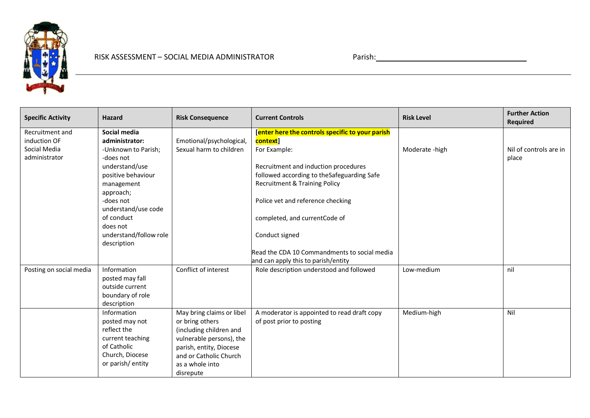

| <b>Specific Activity</b>                                         | <b>Hazard</b>                                                                                                            | <b>Risk Consequence</b>                                                                                                                                                                  | <b>Current Controls</b>                                                                                                                                                                              | <b>Risk Level</b> | <b>Further Action</b><br><b>Required</b> |
|------------------------------------------------------------------|--------------------------------------------------------------------------------------------------------------------------|------------------------------------------------------------------------------------------------------------------------------------------------------------------------------------------|------------------------------------------------------------------------------------------------------------------------------------------------------------------------------------------------------|-------------------|------------------------------------------|
| Recruitment and<br>induction OF<br>Social Media<br>administrator | Social media<br>administrator:<br>-Unknown to Parish;<br>-does not<br>understand/use<br>positive behaviour<br>management | Emotional/psychological,<br>Sexual harm to children                                                                                                                                      | [enter here the controls specific to your parish<br>context]<br>For Example:<br>Recruitment and induction procedures<br>followed according to the Safeguarding Safe<br>Recruitment & Training Policy | Moderate - high   | Nil of controls are in<br>place          |
|                                                                  | approach;<br>-does not<br>understand/use code<br>of conduct<br>does not<br>understand/follow role<br>description         |                                                                                                                                                                                          | Police vet and reference checking<br>completed, and currentCode of<br>Conduct signed                                                                                                                 |                   |                                          |
|                                                                  |                                                                                                                          |                                                                                                                                                                                          | Read the CDA 10 Commandments to social media<br>and can apply this to parish/entity                                                                                                                  |                   |                                          |
| Posting on social media                                          | Information<br>posted may fall<br>outside current<br>boundary of role<br>description                                     | Conflict of interest                                                                                                                                                                     | Role description understood and followed                                                                                                                                                             | Low-medium        | nil                                      |
|                                                                  | Information<br>posted may not<br>reflect the<br>current teaching<br>of Catholic<br>Church, Diocese<br>or parish/entity   | May bring claims or libel<br>or bring others<br>(including children and<br>vulnerable persons), the<br>parish, entity, Diocese<br>and or Catholic Church<br>as a whole into<br>disrepute | A moderator is appointed to read draft copy<br>of post prior to posting                                                                                                                              | Medium-high       | Nil                                      |